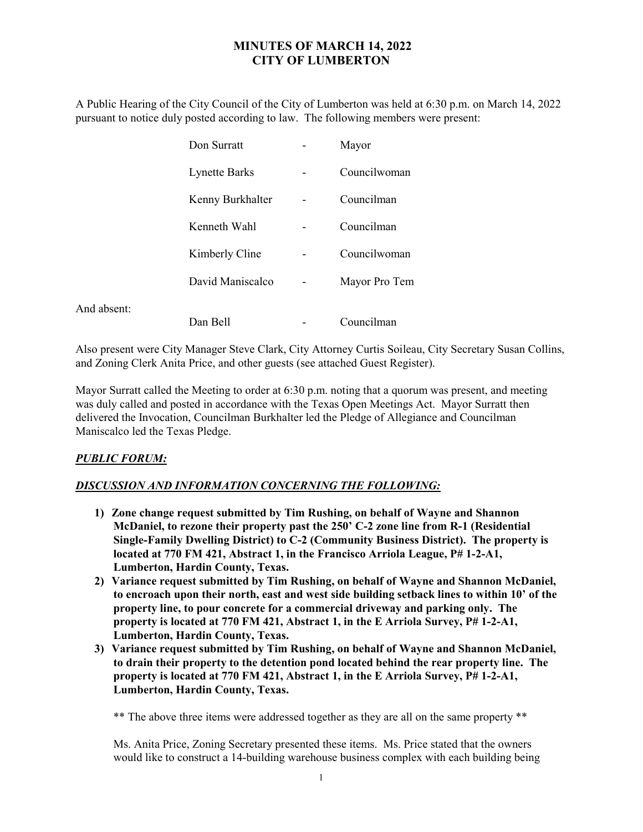## MINUTES OF MARCH 14, 2022 CITY OF LUMBERTON

A Public Hearing of the City Council of the City of Lumberton was held at 6:30 p.m. on March 14, 2022 pursuant to notice duly posted according to law. The following members were present:

|             | Don Surratt          | Mayor         |
|-------------|----------------------|---------------|
|             | <b>Lynette Barks</b> | Councilwoman  |
|             | Kenny Burkhalter     | Councilman    |
|             | Kenneth Wahl         | Councilman    |
|             | Kimberly Cline       | Councilwoman  |
|             | David Maniscalco     | Mayor Pro Tem |
| And absent: | Dan Bell             | Councilman    |

Also present were City Manager Steve Clark, City Attorney Curtis Soileau, City Secretary Susan Collins, and Zoning Clerk Anita Price, and other guests (see attached Guest Register).

Mayor Surratt called the Meeting to order at 6:30 p.m. noting that a quorum was present, and meeting was duly called and posted in accordance with the Texas Open Meetings Act. Mayor Surratt then delivered the Invocation, Councilman Burkhalter led the Pledge of Allegiance and Councilman Maniscalco led the Texas Pledge.

## PUBLIC FORUM:

## DISCUSSION AND INFORMATION CONCERNING THE FOLLOWING:

- 1) Zone change request submitted by Tim Rushing, on behalf of Wayne and Shannon McDaniel, to rezone their property past the 250' C-2 zone line from R-1 (Residential Single-Family Dwelling District) to C-2 (Community Business District). The property is located at 770 FM 421, Abstract 1, in the Francisco Arriola League, P# 1-2-A1, Lumberton, Hardin County, Texas.
- 2) Variance request submitted by Tim Rushing, on behalf of Wayne and Shannon McDaniel, to encroach upon their north, east and west side building setback lines to within 10' of the property line, to pour concrete for a commercial driveway and parking only. The property is located at 770 FM 421, Abstract 1, in the E Arriola Survey, P# 1-2-A1, Lumberton, Hardin County, Texas.
- 3) Variance request submitted by Tim Rushing, on behalf of Wayne and Shannon McDaniel, to drain their property to the detention pond located behind the rear property line. The property is located at 770 FM 421, Abstract 1, in the E Arriola Survey, P# 1-2-A1, Lumberton, Hardin County, Texas.

\*\* The above three items were addressed together as they are all on the same property \*\*

Ms. Anita Price, Zoning Secretary presented these items. Ms. Price stated that the owners would like to construct a 14-building warehouse business complex with each building being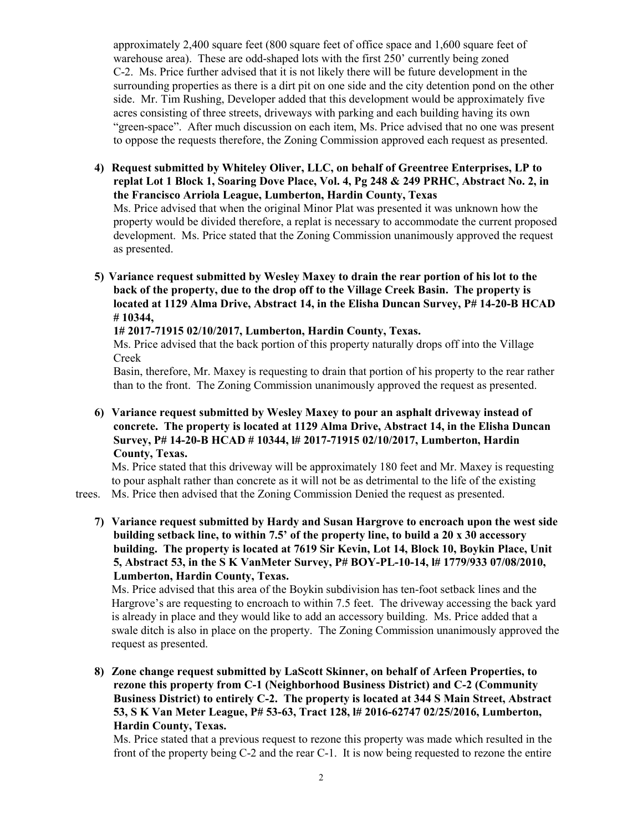approximately 2,400 square feet (800 square feet of office space and 1,600 square feet of warehouse area). These are odd-shaped lots with the first 250' currently being zoned C-2. Ms. Price further advised that it is not likely there will be future development in the surrounding properties as there is a dirt pit on one side and the city detention pond on the other side. Mr. Tim Rushing, Developer added that this development would be approximately five acres consisting of three streets, driveways with parking and each building having its own "green-space". After much discussion on each item, Ms. Price advised that no one was present to oppose the requests therefore, the Zoning Commission approved each request as presented.

4) Request submitted by Whiteley Oliver, LLC, on behalf of Greentree Enterprises, LP to replat Lot 1 Block 1, Soaring Dove Place, Vol. 4, Pg 248 & 249 PRHC, Abstract No. 2, in the Francisco Arriola League, Lumberton, Hardin County, Texas

Ms. Price advised that when the original Minor Plat was presented it was unknown how the property would be divided therefore, a replat is necessary to accommodate the current proposed development. Ms. Price stated that the Zoning Commission unanimously approved the request as presented.

5) Variance request submitted by Wesley Maxey to drain the rear portion of his lot to the back of the property, due to the drop off to the Village Creek Basin. The property is located at 1129 Alma Drive, Abstract 14, in the Elisha Duncan Survey, P# 14-20-B HCAD # 10344,

1# 2017-71915 02/10/2017, Lumberton, Hardin County, Texas.

Ms. Price advised that the back portion of this property naturally drops off into the Village Creek

Basin, therefore, Mr. Maxey is requesting to drain that portion of his property to the rear rather than to the front. The Zoning Commission unanimously approved the request as presented.

6) Variance request submitted by Wesley Maxey to pour an asphalt driveway instead of concrete. The property is located at 1129 Alma Drive, Abstract 14, in the Elisha Duncan Survey, P# 14-20-B HCAD # 10344, l# 2017-71915 02/10/2017, Lumberton, Hardin County, Texas.

 Ms. Price stated that this driveway will be approximately 180 feet and Mr. Maxey is requesting to pour asphalt rather than concrete as it will not be as detrimental to the life of the existing

trees. Ms. Price then advised that the Zoning Commission Denied the request as presented.

7) Variance request submitted by Hardy and Susan Hargrove to encroach upon the west side building setback line, to within 7.5' of the property line, to build a 20 x 30 accessory building. The property is located at 7619 Sir Kevin, Lot 14, Block 10, Boykin Place, Unit 5, Abstract 53, in the S K VanMeter Survey, P# BOY-PL-10-14, l# 1779/933 07/08/2010, Lumberton, Hardin County, Texas.

 Ms. Price advised that this area of the Boykin subdivision has ten-foot setback lines and the Hargrove's are requesting to encroach to within 7.5 feet. The driveway accessing the back yard is already in place and they would like to add an accessory building. Ms. Price added that a swale ditch is also in place on the property. The Zoning Commission unanimously approved the request as presented.

8) Zone change request submitted by LaScott Skinner, on behalf of Arfeen Properties, to rezone this property from C-1 (Neighborhood Business District) and C-2 (Community Business District) to entirely C-2. The property is located at 344 S Main Street, Abstract 53, S K Van Meter League, P# 53-63, Tract 128, l# 2016-62747 02/25/2016, Lumberton, Hardin County, Texas.

Ms. Price stated that a previous request to rezone this property was made which resulted in the front of the property being C-2 and the rear C-1. It is now being requested to rezone the entire